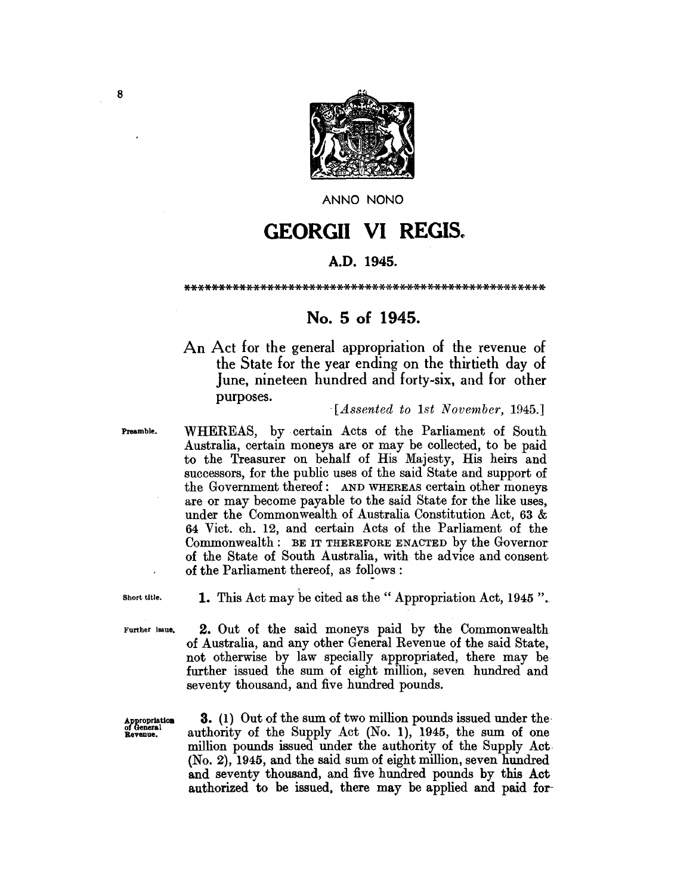

ANNO NONO

## **GEORGII VI** REGIS~

## A.D. 1945.

\*\*\*\*\*\*\*\*\*\*\*\*\*\*\*\*\*\*\*\*\*\*\*\*\*\*\*\*\*\*\*\*\*\*\*\*\*\*\*\*\*\*\*\*\*\*\*\*\*\*\*\*

## No. 5 of 1945.

An Act for the general appropriation of the revenue of the State for the year ending on the thirtieth day of June, nineteen hundred and forty-six, and for other purposes. *. [Assented to 1st November, 1945.]* 

Preamble. WHEREAS, by certain Acts of the Parliament of South Australia, certain moneys are or may be collected, to be paid to the Treasurer on behalf of His Majesty, His heirs and successors, for the public uses of the said State and support of the Government thereof: AND WHEREAS certain other moneys are or may become payable to the said State for the like uses, under the Commonwealth of Australia Constitution Act, 63 & 64 Vict. ch. 12, and certain Acts of the Parliament of the Commonwealth: BE IT THEREFORE ENACTED by the Governor of the State of South Australia, with the advice and consent· of the Parliament thereof, as follows:

Short title. 1. This Act may be cited as the" Appropriation Act, 1945 ".

Further Issue. 2. Out of the said moneys paid by the Commonwealth of Australia, and any other General Revenue of the said State, not otherwise by law specially appropriated, there may be further issued the sum of eight million, seven hundred and seventy thousand, and five hundred pounds.

 $\frac{1}{\text{Approximation}}$  3. (1) Out of the sum of two million pounds issued under the servenue. authority of the Supply Act (No. 1), 1945, the sum of one authority of the Supply Act (No. 1), 1945, the sum of one million pounds issued under the authority of the Supply Act· (No.2), 1945, and the said sum of eight million, seven hundred and seventy thousand, and five hundred pounds by this Act authorized to be issued. there may be applied and paid for-

8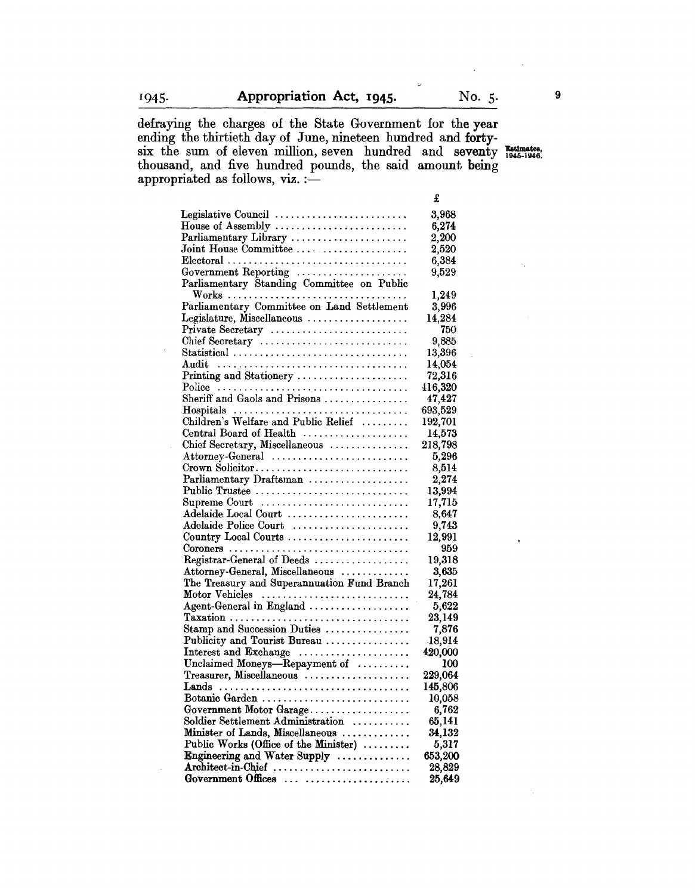defraying the charges of the State Government for the year ending the thirtieth day of June, nineteen hundred and fortysix the sum of eleven million, seven hundred and seventy Estimates, thousand, and five hundred pounds, the said amount being appropriated as follows,  $viz. :=$ 

 $\ddot{\nu}$ 

|                                                                   | £                |
|-------------------------------------------------------------------|------------------|
| Legislative Council                                               | 3,968            |
| House of Assembly $\dots\dots\dots\dots\dots\dots\dots\dots\dots$ | 6,274            |
| Parliamentary Library                                             | 2,200            |
| Joint House Committee                                             | 2,520            |
| $Electoral$                                                       | 6,384            |
| Government Reporting                                              | 9,529            |
| Parliamentary Standing Committee on Public                        |                  |
|                                                                   | 1,249            |
| Parliamentary Committee on Land Settlement                        | 3,996            |
| Legislature, Miscellaneous                                        | 14,284           |
| Private Secretary                                                 | 750              |
| Chief Secretary                                                   | 9,885            |
| Statistical                                                       | 13,396           |
|                                                                   | 14,054<br>72,316 |
| Printing and Stationery                                           | 416,320          |
| Sheriff and Gaols and Prisons                                     | 47,427           |
| Hospitals                                                         | 693,529          |
| Children's Welfare and Public Relief                              | 192,701          |
| Central Board of Health                                           | 14,573           |
| Chief Secretary, Miscellaneous                                    | 218,798          |
| Attorney-General                                                  | 5,296            |
| Crown Solicitor                                                   | 8,514            |
| Parliamentary Draftsman                                           | 2,274            |
| Public Trustee                                                    | 13,994           |
| Supreme Court                                                     | 17,715           |
| Adelaide Local Court                                              | 8,647            |
| Adelaide Police Court                                             | 9,743            |
| Country Local Courts                                              | 12,991           |
| Coroners                                                          | 959              |
| Registrar-General of Deeds                                        | 19,318           |
| Attorney-General, Miscellaneous                                   | 3,635            |
| The Treasury and Superannuation Fund Branch                       | 17,261           |
| Motor Vehicles                                                    | 24,784           |
| Agent-General in England                                          | 5,622            |
| Taxation                                                          | 23,149           |
| Stamp and Succession Duties                                       | 7,876            |
| Publicity and Tourist Bureau                                      | 18,914           |
| Interest and Exchange                                             | 420,000          |
| Unclaimed Moneys-Repayment of                                     | 100              |
| Treasurer, Miscellaneous                                          | 229,064          |
|                                                                   | 145,806          |
| Botanic Garden                                                    | 10,058           |
| Government Motor Garage                                           | 6,762            |
| Soldier Settlement Administration                                 | 65,141           |
| Minister of Lands, Miscellaneous                                  | 34,132           |
| Public Works (Office of the Minister)                             | 5,317            |
| Engineering and Water Supply                                      | 653,200          |
| Architect-in-Chief<br>Government Offices                          | 28,829           |
|                                                                   | 25,649           |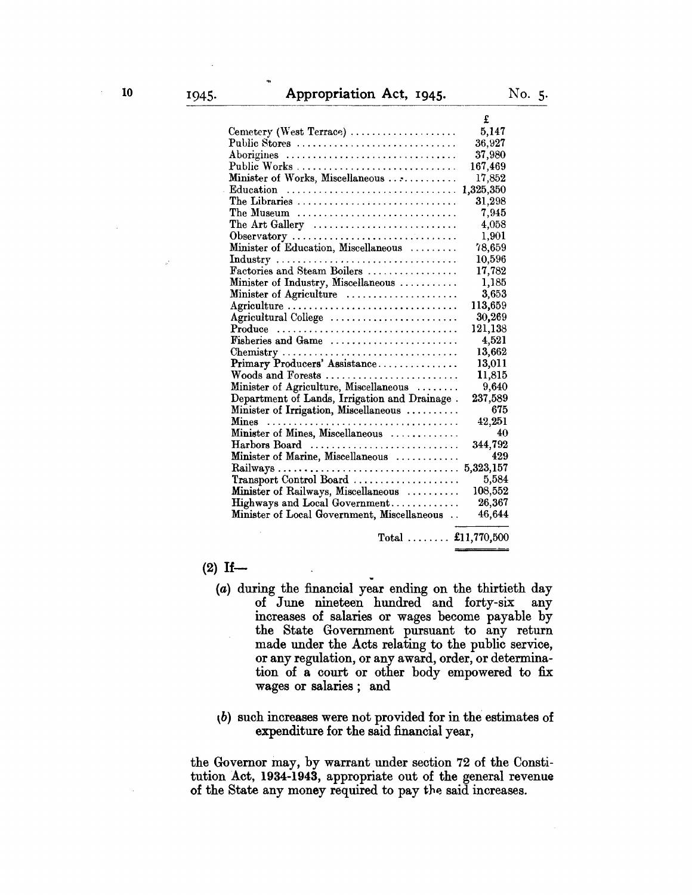|                                                                             | £          |
|-----------------------------------------------------------------------------|------------|
| $\text{Cemetery (West Terrace)} \dots \dots \dots \dots \dots \dots \dots$  | 5,147      |
| Public Stores                                                               | 36,927     |
| Aborigines                                                                  | 37,980     |
| Public Works                                                                | 167,469    |
| Minister of Works, Miscellaneous                                            | 17,852     |
| Education                                                                   | 1,325,350  |
| The Libraries                                                               | 31,298     |
| The Museum $\ldots \ldots \ldots \ldots \ldots \ldots \ldots \ldots \ldots$ | 7,945      |
| The Art Gallery $\dots\dots\dots\dots\dots\dots\dots\dots\dots\dots$        | 4,058      |
| Observatory                                                                 | 1,901      |
| Minister of Education, Miscellaneous                                        | 78,659     |
|                                                                             | $10,\!596$ |
| Factories and Steam Boilers                                                 | 17,782     |
| Minister of Industry, Miscellaneous                                         | 1.185      |
| Minister of Agriculture                                                     | 3.653      |
| Agriculture                                                                 | 113,659    |
| Agricultural College                                                        | 30,269     |
| $\text{Produce}$                                                            | 121,138    |
| Fisheries and Game                                                          | 4,521      |
| Chemistry                                                                   | 13,662     |
| Primary Producers' Assistance                                               | 13,011     |
| Woods and Forests                                                           | $11{,}815$ |
| Minister of Agriculture, Miscellaneous                                      | 9,640      |
| Department of Lands, Irrigation and Drainage.                               | 237,589    |
| Minister of Irrigation, Miscellaneous                                       | 675        |
|                                                                             | 42,251     |
| Minister of Mines, Miscellaneous                                            | 40         |
| Harbors Board                                                               | 344,792    |
| Minister of Marine, Miscellaneous                                           | 429        |
|                                                                             | 5,323,157  |
| Transport Control Board                                                     | 5,584      |
| Minister of Railways, Miscellaneous                                         | 108,552    |
| Highways and Local Government                                               | 26,367     |
| Minister of Local Government, Miscellaneous                                 | 46,644     |
|                                                                             |            |

## $(2)$  If-

(a) during the financial year ending on the thirtieth day of June nineteen hundred and forty-six any increases of salaries or wages become payable by the State Government pursuant to any return made under the Acts relating to the public service, or any regulation, or any award, order, or determination of a court or other body empowered to fix wages or salaries; and

Total  $\ldots \ldots$  £11,770,500

 $\Phi$ ) such increases were not provided for in the estimates of expenditure for the said financial year,

the Governor may, by warrant under section 72 of the Constitution Act, 1934-1943, appropriate out of the general revenue of the State any money required to pay the said increases.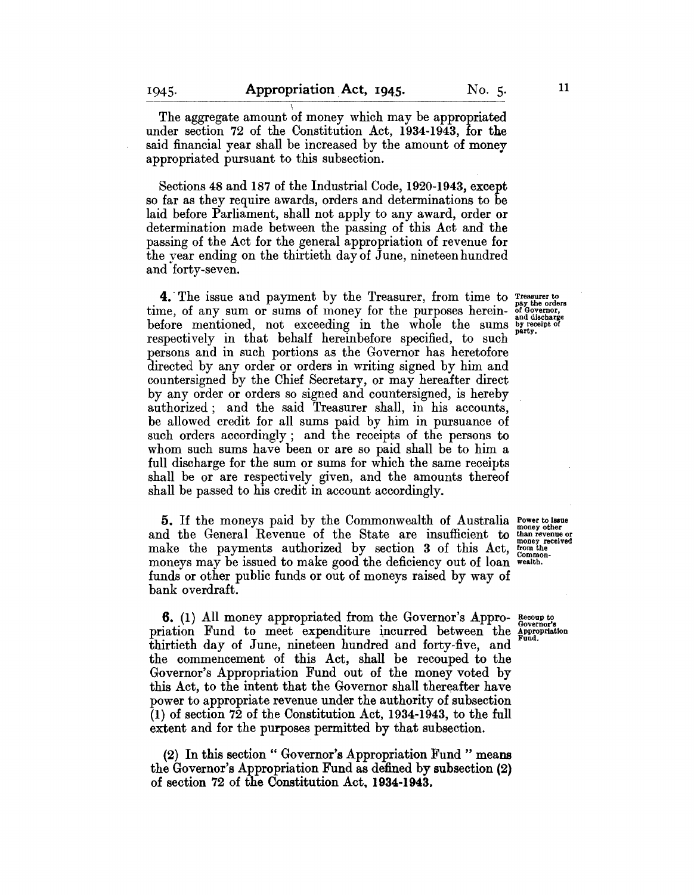The aggregate amount of money which may be appropriated under section 72 of the Constitution Act, 1934-1943, for the said financial year shall be increased by the amount of money appropriated pursuant to this subsection.

Sections 48 and 187 of the Industrial Code, 1920-1943, except so far as they require awards, orders and determinations to be laid before Parliament, shall not apply to any award, order or determination made between the passing of this Act and the passing of the Act for the general appropriation of revenue for the year ending on the thirtieth day of June, nineteen hundred and forty-seven.

**4.** The issue and payment by the Treasurer, from time to  $T_{\text{pay the orders}}^{\text{true}}$  time, of any sum or sums of money for the purposes herein-  $_{\text{and dishenever}}^{\text{true}}$ before mentioned, not exceeding in the whole the sums by needing. respectively in that behalf hereinbefore specified, to such persons and in such portions as the Governor has heretofore directed by any order or orders in writing signed by him and countersigned by the Chief Secretary, or may hereafter direct by any order or orders so signed and countersigned, is hereby authorized; and the said Treasurer shall, in his accounts, be allowed credit for all sums paid by him in pursuance of such orders accordingly; and the receipts of the persons to whom such sums have been or are so paid shall be to him a full discharge for the sum or sums for which the same receipts shall be or are respectively given, and the amounts thereof shall be passed to his credit in account accordingly.

5. If the moneys paid by the Commonwealth of Australia Power to issue<br>and the General Revenue of the State are insufficient to than revenue or make the payments authorized by section 3 of this Act, trom the money received moneys may be issued to make good the deficiency out of less commonmoneys may be issued to make good the deficiency out of loan wealth. funds or other public funds or out of moneys raised by way of bank overdraft.

6. (1) All money appropriated from the Governor's Appro- Recoup to priation Fund to meet expenditure incurred between the Appropriation thirtieth day of June, nineteen hundred and forty-five, and the commencement of this Act, shall be recouped to the Governor's Appropriation Fund out of the money voted by this Act, to the intent that the Governor shall thereafter have power to appropriate revenue under the authority of subsection (1) of section 72 of the Constitution Act, 1934-1943, to the full extent and for the purposes permitted by that subsection.

(2) In this section" Governor's Appropriation Fund" means the Governor's Appropriation Fund as defined by subsection (2) of section 72 of the Constitution Act. 1934-1943.